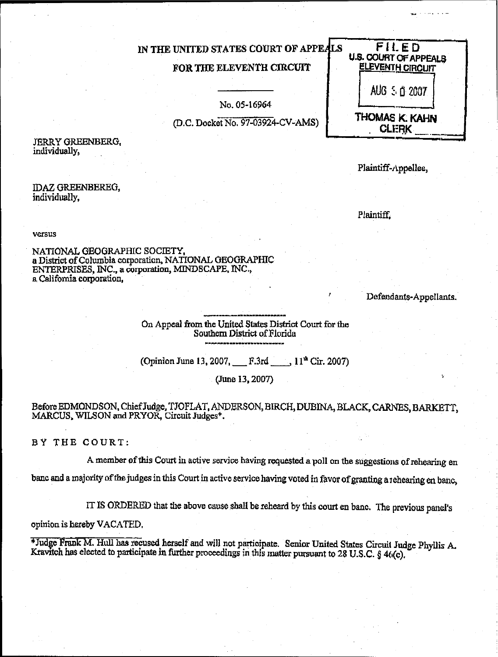| IN THE UNITED STATES COURT OF APPEALS<br>FOR THE ELEVENTH CIRCUIT | FILED<br><b>U.S. COURT OF APPEALS</b><br><b>ELEVENTH CIRCUIT</b> |
|-------------------------------------------------------------------|------------------------------------------------------------------|
| No. 05-16964                                                      | AUG 5 0 2007                                                     |
| (D.C. Docket No. 97-03924-CV-AMS)                                 | THOMAS K. KAHN                                                   |

**JERRY GREENBERG.** individually,

**IDAZ GREENBEREG,** individually.

Plaintiff-Appellee,

versus

NATIONAL GEOGRAPHIC SOCIETY, a District of Columbia corporation, NATIONAL GEOGRAPHIC ENTERPRISES, INC., a corporation, MINDSCAPE, INC., a California corporation,

Defendants-Appellants.

On Appeal from the United States District Court for the Southern District of Florida

(Opinion June 13, 2007, F.3rd 11<sup>th</sup> Cir. 2007)

(June 13, 2007)

### Before EDMONDSON, Chief Judge, TJOFLAT, ANDERSON, BIRCH, DUBINA, BLACK, CARNES, BARKETT, MARCUS, WILSON and PRYOR, Circuit Judges<sup>+</sup>.

BY THE COURT:

A member of this Court in active service having requested a poll on the suggestions of rehearing en banc and a majority of the judges in this Court in active service having voted in favor of granting a rehearing en banc,

IT IS ORDERED that the above cause shall be reheard by this court en banc. The previous panel's

opinion is hereby VACATED.

\*Judge Frank M. Hull has recused herself and will not participate. Senior United States Circuit Judge Phyllis A. Kravitch has elected to participate in further proceedings in this matter pursuant to 28 U.S.C. § 4((c).

Plaintiff.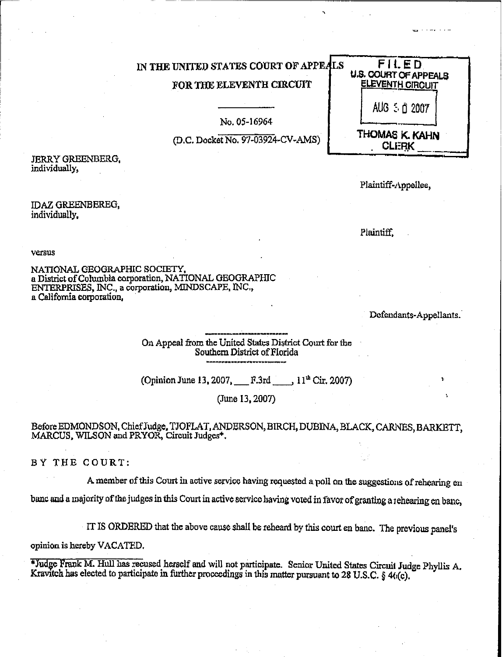## IN THE UNITED STATES COURT OF APPEALS FOR THE ELEVENTH CIRCUIT

No. 05-16964

(D.C. Docket No. 97-03924-CV-AMS)

**JERRY GREENBERG,** individually.

Plaintiff-Appellee.

FILED **U.S. COURT OF APPEALS** 

**ELEVENTH CIRCUIT** 

AUG 5 ft 2007

THOMAS K. KAHN

**CLERK** 

### **IDAZ GREENBEREG.** individually.

Plaintiff.

versus

NATIONAL GEOGRAPHIC SOCIETY, a District of Columbia corporation, NATIONAL GEOGRAPHIC ENTERPRISES, INC., a corporation, MINDSCAPE, INC., a California corporation.

Defendants-Appellants.

On Appeal from the United States District Court for the Southern District of Florida

(Opinion June 13, 2007, F.3rd, 11<sup>th</sup> Cir, 2007)

(June 13, 2007)

Before EDMONDSON, Chief Judge, TJOFLAT, ANDERSON, BIRCH, DUBINA, BLACK, CARNES, BARKETT, MARCUS, WILSON and PRYOR, Circuit Judges<sup>\*</sup>.

BY THE COURT:

A member of this Court in active service having requested a poll on the suggestions of rehearing en

banc and a majority of the judges in this Court in active service having voted in favor of granting a rehearing en banc,

IT IS ORDERED that the above cause shall be reheard by this court en banc. The previous panel's

opinion is hereby VACATED.

\*Judge Frank M. Hull has recused herself and will not participate. Senior United States Circuit Judge Phyllis A. Kravitch has elected to participate in further proceedings in this matter pursuant to 28 U.S.C.  $\frac{1}{9}$  4(i(c).